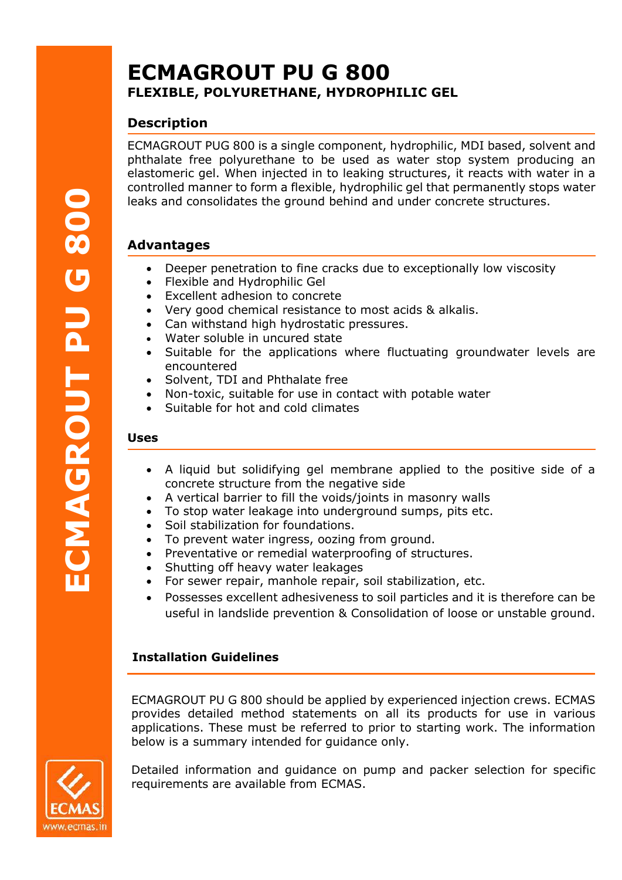# **ECMAGROUT PU G 800 FLEXIBLE, POLYURETHANE, HYDROPHILIC GEL**

# **Description**

ECMAGROUT PUG 800 is a single component, hydrophilic, MDI based, solvent and phthalate free polyurethane to be used as water stop system producing an elastomeric gel. When injected in to leaking structures, it reacts with water in a controlled manner to form a flexible, hydrophilic gel that permanently stops water leaks and consolidates the ground behind and under concrete structures.

# **Advantages**

- Deeper penetration to fine cracks due to exceptionally low viscosity
- Flexible and Hydrophilic Gel
- Excellent adhesion to concrete
- Very good chemical resistance to most acids & alkalis.
- Can withstand high hydrostatic pressures.
- Water soluble in uncured state
- Suitable for the applications where fluctuating groundwater levels are encountered
- Solvent, TDI and Phthalate free
- Non-toxic, suitable for use in contact with potable water
- Suitable for hot and cold climates

#### **Uses**

- A liquid but solidifying gel membrane applied to the positive side of a concrete structure from the negative side
- A vertical barrier to fill the voids/joints in masonry walls
- To stop water leakage into underground sumps, pits etc.
- Soil stabilization for foundations.
- To prevent water ingress, oozing from ground.
- Preventative or remedial waterproofing of structures.
- Shutting off heavy water leakages
- For sewer repair, manhole repair, soil stabilization, etc.
- Possesses excellent adhesiveness to soil particles and it is therefore can be useful in landslide prevention & Consolidation of loose or unstable ground.

### **Installation Guidelines**

ECMAGROUT PU G 800 should be applied by experienced injection crews. ECMAS provides detailed method statements on all its products for use in various applications. These must be referred to prior to starting work. The information below is a summary intended for guidance only.



Detailed information and guidance on pump and packer selection for specific requirements are available from ECMAS.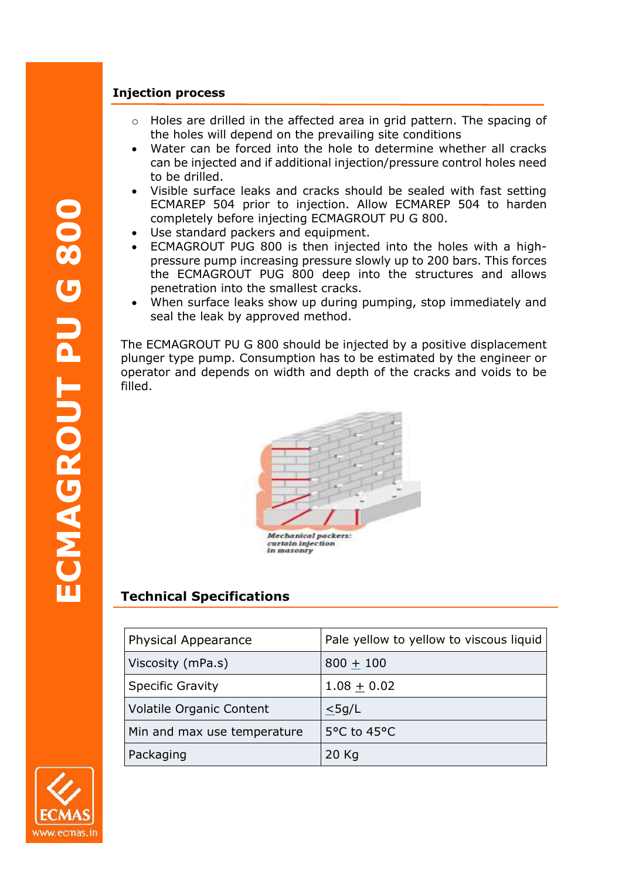### **Injection process**

- $\circ$  Holes are drilled in the affected area in grid pattern. The spacing of the holes will depend on the prevailing site conditions
- Water can be forced into the hole to determine whether all cracks can be injected and if additional injection/pressure control holes need to be drilled.
- Visible surface leaks and cracks should be sealed with fast setting ECMAREP 504 prior to injection. Allow ECMAREP 504 to harden completely before injecting ECMAGROUT PU G 800.
- Use standard packers and equipment.
- ECMAGROUT PUG 800 is then injected into the holes with a highpressure pump increasing pressure slowly up to 200 bars. This forces the ECMAGROUT PUG 800 deep into the structures and allows penetration into the smallest cracks.
- When surface leaks show up during pumping, stop immediately and seal the leak by approved method.

The ECMAGROUT PU G 800 should be injected by a positive displacement plunger type pump. Consumption has to be estimated by the engineer or operator and depends on width and depth of the cracks and voids to be filled.



# **Technical Specifications**

| <b>Physical Appearance</b>      | Pale yellow to yellow to viscous liquid |
|---------------------------------|-----------------------------------------|
| Viscosity (mPa.s)               | $800 + 100$                             |
| <b>Specific Gravity</b>         | $1.08 + 0.02$                           |
| <b>Volatile Organic Content</b> | $\leq$ 5g/L                             |
| Min and max use temperature     | 5°C to 45°C                             |
| Packaging                       | 20 Kg                                   |